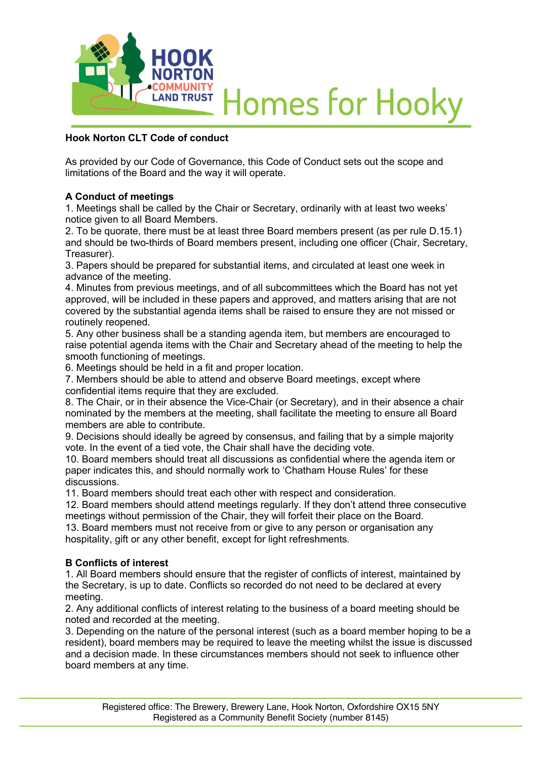

# **Homes for Hooky**

## **Hook Norton CLT Code of conduct**

As provided by our Code of Governance, this Code of Conduct sets out the scope and limitations of the Board and the way it will operate.

## **A Conduct of meetings**

1. Meetings shall be called by the Chair or Secretary, ordinarily with at least two weeks' notice given to all Board Members.

2. To be quorate, there must be at least three Board members present (as per rule D.15.1) and should be two-thirds of Board members present, including one officer (Chair, Secretary, Treasurer).

3. Papers should be prepared for substantial items, and circulated at least one week in advance of the meeting.

4. Minutes from previous meetings, and of all subcommittees which the Board has not yet approved, will be included in these papers and approved, and matters arising that are not covered by the substantial agenda items shall be raised to ensure they are not missed or routinely reopened.

5. Any other business shall be a standing agenda item, but members are encouraged to raise potential agenda items with the Chair and Secretary ahead of the meeting to help the smooth functioning of meetings.

6. Meetings should be held in a fit and proper location.

7. Members should be able to attend and observe Board meetings, except where confidential items require that they are excluded.

8. The Chair, or in their absence the Vice-Chair (or Secretary), and in their absence a chair nominated by the members at the meeting, shall facilitate the meeting to ensure all Board members are able to contribute.

9. Decisions should ideally be agreed by consensus, and failing that by a simple majority vote. In the event of a tied vote, the Chair shall have the deciding vote.

10. Board members should treat all discussions as confidential where the agenda item or paper indicates this, and should normally work to 'Chatham House Rules' for these discussions.

11. Board members should treat each other with respect and consideration.

12. Board members should attend meetings regularly. If they don't attend three consecutive meetings without permission of the Chair, they will forfeit their place on the Board.

13. Board members must not receive from or give to any person or organisation any hospitality, gift or any other benefit, except for light refreshments.

## **B Conflicts of interest**

1. All Board members should ensure that the register of conflicts of interest, maintained by the Secretary, is up to date. Conflicts so recorded do not need to be declared at every meeting.

2. Any additional conflicts of interest relating to the business of a board meeting should be noted and recorded at the meeting.

3. Depending on the nature of the personal interest (such as a board member hoping to be a resident), board members may be required to leave the meeting whilst the issue is discussed and a decision made. In these circumstances members should not seek to influence other board members at any time.